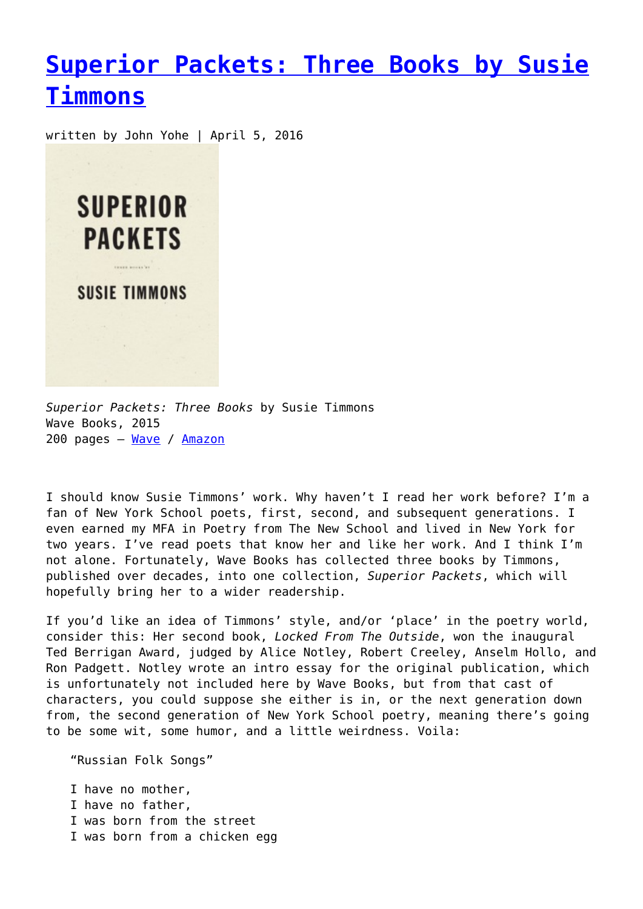## **[Superior Packets: Three Books by Susie](https://entropymag.org/superior-packets-three-books-by-susie-timmons/) [Timmons](https://entropymag.org/superior-packets-three-books-by-susie-timmons/)**

written by John Yohe | April 5, 2016



*Superior Packets: Three Books* by Susie Timmons Wave Books, 2015 200 pages – [Wave](http://www.wavepoetry.com/products/superior-packets) / [Amazon](http://www.amazon.com/Superior-Packets-Susie-Timmons/dp/1940696062/ref=sr_1_1?ie=UTF8&qid=1458171839&sr=8-1&keywords=susie+timmons)

I should know Susie Timmons' work. Why haven't I read her work before? I'm a fan of New York School poets, first, second, and subsequent generations. I even earned my MFA in Poetry from The New School and lived in New York for two years. I've read poets that know her and like her work. And I think I'm not alone. Fortunately, Wave Books has collected three books by Timmons, published over decades, into one collection, *Superior Packets*, which will hopefully bring her to a wider readership.

If you'd like an idea of Timmons' style, and/or 'place' in the poetry world, consider this: Her second book, *Locked From The Outside*, won the inaugural Ted Berrigan Award, judged by Alice Notley, Robert Creeley, Anselm Hollo, and Ron Padgett. Notley wrote an intro essay for the original publication, which is unfortunately not included here by Wave Books, but from that cast of characters, you could suppose she either is in, or the next generation down from, the second generation of New York School poetry, meaning there's going to be some wit, some humor, and a little weirdness. Voila:

"Russian Folk Songs"

I have no mother, I have no father, I was born from the street I was born from a chicken egg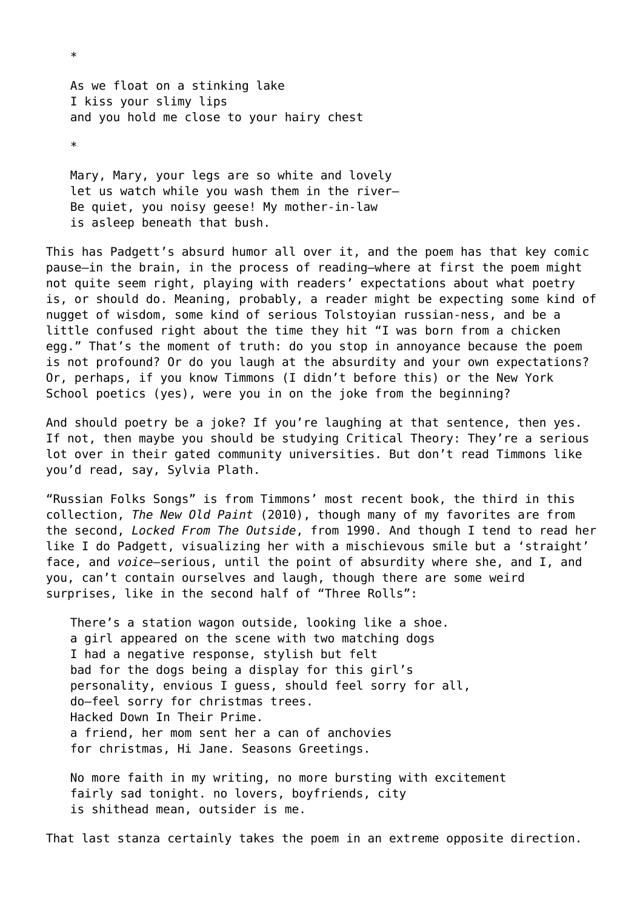As we float on a stinking lake I kiss your slimy lips and you hold me close to your hairy chest \*

\*

Mary, Mary, your legs are so white and lovely let us watch while you wash them in the river-Be quiet, you noisy geese! My mother-in-law is asleep beneath that bush.

This has Padgett's absurd humor all over it, and the poem has that key comic pause—in the brain, in the process of reading—where at first the poem might not quite seem right, playing with readers' expectations about what poetry is, or should do. Meaning, probably, a reader might be expecting some kind of nugget of wisdom, some kind of serious Tolstoyian russian-ness, and be a little confused right about the time they hit "I was born from a chicken egg." That's the moment of truth: do you stop in annoyance because the poem is not profound? Or do you laugh at the absurdity and your own expectations? Or, perhaps, if you know Timmons (I didn't before this) or the New York School poetics (yes), were you in on the joke from the beginning?

And should poetry be a joke? If you're laughing at that sentence, then yes. If not, then maybe you should be studying Critical Theory: They're a serious lot over in their gated community universities. But don't read Timmons like you'd read, say, Sylvia Plath.

"Russian Folks Songs" is from Timmons' most recent book, the third in this collection, *The New Old Paint* (2010), though many of my favorites are from the second, *Locked From The Outside*, from 1990. And though I tend to read her like I do Padgett, visualizing her with a mischievous smile but a 'straight' face, and *voice*—serious, until the point of absurdity where she, and I, and you, can't contain ourselves and laugh, though there are some weird surprises, like in the second half of "Three Rolls":

There's a station wagon outside, looking like a shoe. a girl appeared on the scene with two matching dogs I had a negative response, stylish but felt bad for the dogs being a display for this girl's personality, envious I guess, should feel sorry for all, do—feel sorry for christmas trees. Hacked Down In Their Prime. a friend, her mom sent her a can of anchovies for christmas, Hi Jane. Seasons Greetings.

No more faith in my writing, no more bursting with excitement fairly sad tonight. no lovers, boyfriends, city is shithead mean, outsider is me.

That last stanza certainly takes the poem in an extreme opposite direction.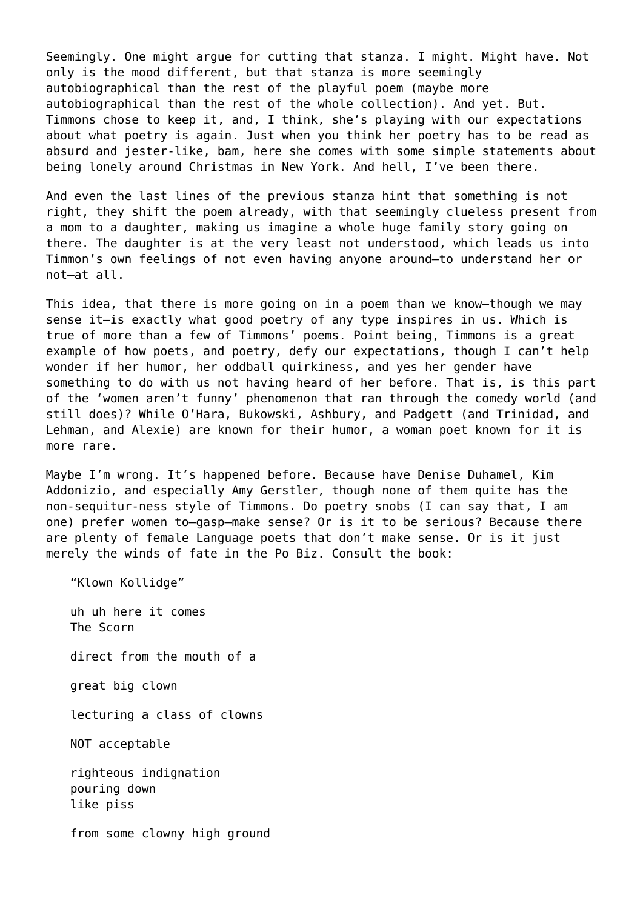Seemingly. One might argue for cutting that stanza. I might. Might have. Not only is the mood different, but that stanza is more seemingly autobiographical than the rest of the playful poem (maybe more autobiographical than the rest of the whole collection). And yet. But. Timmons chose to keep it, and, I think, she's playing with our expectations about what poetry is again. Just when you think her poetry has to be read as absurd and jester-like, bam, here she comes with some simple statements about being lonely around Christmas in New York. And hell, I've been there.

And even the last lines of the previous stanza hint that something is not right, they shift the poem already, with that seemingly clueless present from a mom to a daughter, making us imagine a whole huge family story going on there. The daughter is at the very least not understood, which leads us into Timmon's own feelings of not even having anyone around—to understand her or not—at all.

This idea, that there is more going on in a poem than we know—though we may sense it—is exactly what good poetry of any type inspires in us. Which is true of more than a few of Timmons' poems. Point being, Timmons is a great example of how poets, and poetry, defy our expectations, though I can't help wonder if her humor, her oddball quirkiness, and yes her gender have something to do with us not having heard of her before. That is, is this part of the 'women aren't funny' phenomenon that ran through the comedy world (and still does)? While O'Hara, Bukowski, Ashbury, and Padgett (and Trinidad, and Lehman, and Alexie) are known for their humor, a woman poet known for it is more rare.

Maybe I'm wrong. It's happened before. Because have Denise Duhamel, Kim Addonizio, and especially Amy Gerstler, though none of them quite has the non-sequitur-ness style of Timmons. Do poetry snobs (I can say that, I am one) prefer women to—gasp—make sense? Or is it to be serious? Because there are plenty of female Language poets that don't make sense. Or is it just merely the winds of fate in the Po Biz. Consult the book:

"Klown Kollidge"

uh uh here it comes The Scorn

direct from the mouth of a

great big clown

lecturing a class of clowns

NOT acceptable

righteous indignation pouring down like piss

from some clowny high ground